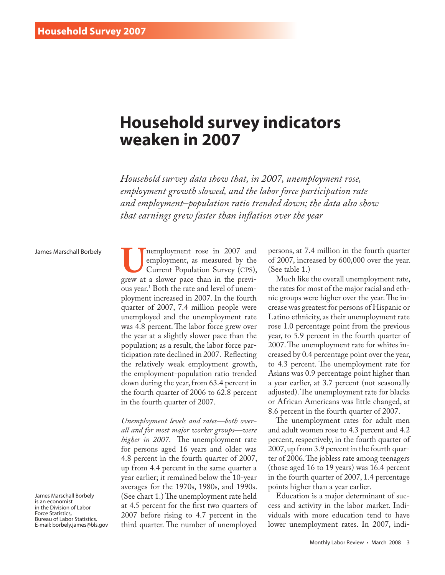# **Household survey indicators weaken in 2007**

*Household survey data show that, in 2007, unemployment rose, employment growth slowed, and the labor force participation rate and employment–population ratio trended down; the data also show that earnings grew faster than inflation over the year*

## James Marschall Borbely

James Marschall Borbely is an economist in the Division of Labor Force Statistics, Bureau of Labor Statistics. E-mail: borbely.james@bls.gov

**U**<br>
employment, as measured by the<br>
Current Population Survey (CPS),<br>
grew at a slower pace than in the previemployment, as measured by the Current Population Survey (CPS), ous year.1 Both the rate and level of unemployment increased in 2007. In the fourth quarter of 2007, 7.4 million people were unemployed and the unemployment rate was 4.8 percent. The labor force grew over the year at a slightly slower pace than the population; as a result, the labor force participation rate declined in 2007. Reflecting the relatively weak employment growth, the employment-population ratio trended down during the year, from 63.4 percent in the fourth quarter of 2006 to 62.8 percent in the fourth quarter of 2007.

*Unemployment levels and rates—both overall and for most major worker groups—were higher in 2007*. The unemployment rate for persons aged 16 years and older was 4.8 percent in the fourth quarter of 2007, up from 4.4 percent in the same quarter a year earlier; it remained below the 10-year averages for the 1970s, 1980s, and 1990s. (See chart 1.) The unemployment rate held at 4.5 percent for the first two quarters of 2007 before rising to 4.7 percent in the third quarter. The number of unemployed persons, at 7.4 million in the fourth quarter of 2007, increased by 600,000 over the year. (See table 1.)

Much like the overall unemployment rate, the rates for most of the major racial and ethnic groups were higher over the year. The increase was greatest for persons of Hispanic or Latino ethnicity, as their unemployment rate rose 1.0 percentage point from the previous year, to 5.9 percent in the fourth quarter of 2007. The unemployment rate for whites increased by 0.4 percentage point over the year, to 4.3 percent. The unemployment rate for Asians was 0.9 percentage point higher than a year earlier, at 3.7 percent (not seasonally adjusted). The unemployment rate for blacks or African Americans was little changed, at 8.6 percent in the fourth quarter of 2007.

The unemployment rates for adult men and adult women rose to 4.3 percent and 4.2 percent, respectively, in the fourth quarter of 2007, up from 3.9 percent in the fourth quarter of 2006. The jobless rate among teenagers (those aged 16 to 19 years) was 16.4 percent in the fourth quarter of 2007, 1.4 percentage points higher than a year earlier.

Education is a major determinant of success and activity in the labor market. Individuals with more education tend to have lower unemployment rates. In 2007, indi-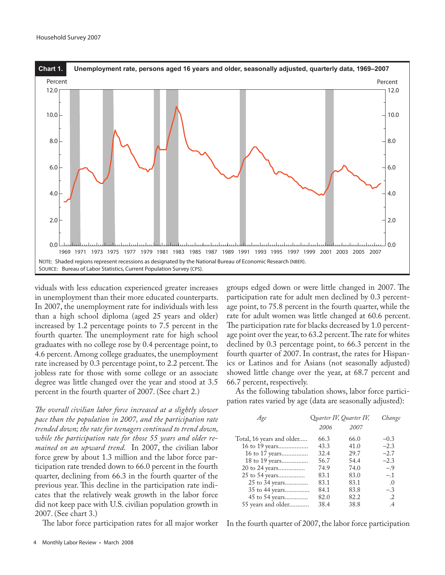

viduals with less education experienced greater increases in unemployment than their more educated counterparts. In 2007, the unemployment rate for individuals with less than a high school diploma (aged 25 years and older) increased by 1.2 percentage points to 7.5 percent in the fourth quarter. The unemployment rate for high school graduates with no college rose by 0.4 percentage point, to 4.6 percent. Among college graduates, the unemployment rate increased by 0.3 percentage point, to 2.2 percent. The jobless rate for those with some college or an associate degree was little changed over the year and stood at 3.5 percent in the fourth quarter of 2007. (See chart 2.)

*The overall civilian labor force increased at a slightly slower pace than the population in 2007, and the participation rate trended down; the rate for teenagers continued to trend down, while the participation rate for those 55 years and older remained on an upward trend*. In 2007, the civilian labor force grew by about 1.3 million and the labor force participation rate trended down to 66.0 percent in the fourth quarter, declining from 66.3 in the fourth quarter of the previous year. This decline in the participation rate indicates that the relatively weak growth in the labor force did not keep pace with U.S. civilian population growth in 2007. (See chart 3.)

The labor force participation rates for all major worker

groups edged down or were little changed in 2007. The participation rate for adult men declined by 0.3 percentage point, to 75.8 percent in the fourth quarter, while the rate for adult women was little changed at 60.6 percent. The participation rate for blacks decreased by 1.0 percentage point over the year, to 63.2 percent. The rate for whites declined by 0.3 percentage point, to 66.3 percent in the fourth quarter of 2007. In contrast, the rates for Hispanics or Latinos and for Asians (not seasonally adjusted) showed little change over the year, at 68.7 percent and 66.7 percent, respectively.

As the following tabulation shows, labor force participation rates varied by age (data are seasonally adjusted):

| Age                       |      | Quarter IV, Quarter IV, | Change     |
|---------------------------|------|-------------------------|------------|
|                           | 2006 | 2007                    |            |
| Total, 16 years and older | 66.3 | 66.0                    | $-0.3$     |
| 16 to 19 years            | 43.3 | 41.0                    | $-2.3$     |
| 16 to 17 years            | 32.4 | 29.7                    | $-2.7$     |
| 18 to 19 years            | 56.7 | 54.4                    | $-2.3$     |
| 20 to 24 years            | 74.9 | 74.0                    | $-.9$      |
| 25 to 54 years            | 83.1 | 83.0                    | $-.1$      |
| 25 to 34 years            | 83.1 | 83.1                    | $\Omega$   |
| 35 to 44 years            | 84.1 | 83.8                    | $-.3$      |
| 45 to 54 years            | 82.0 | 82.2                    | $\cdot$ .2 |
| 55 years and older        | 38.4 | 38.8                    | .4         |
|                           |      |                         |            |

In the fourth quarter of 2007, the labor force participation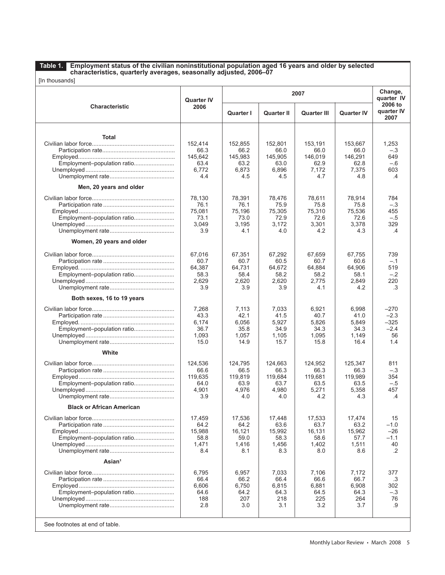**Table 1.**

#### **Employment status of the civilian noninstitutional population aged 16 years and older by selected characteristics, quarterly averages, seasonally adjusted, 2006–07**

|  |  | [In thousands] |
|--|--|----------------|
|--|--|----------------|

| [In thousands]                                                         |                                                    |                                                    |                                                    |                                                    |                                                    |                                                        |
|------------------------------------------------------------------------|----------------------------------------------------|----------------------------------------------------|----------------------------------------------------|----------------------------------------------------|----------------------------------------------------|--------------------------------------------------------|
|                                                                        | <b>Quarter IV</b>                                  |                                                    |                                                    | 2007                                               |                                                    | Change,<br>quarter IV<br>2006 to                       |
| <b>Characteristic</b>                                                  | 2006                                               | Quarter I                                          | <b>Quarter II</b>                                  | Quarter III                                        | <b>Quarter IV</b>                                  | quarter IV<br>2007                                     |
| <b>Total</b><br>Employment-population ratio<br>Men, 20 years and older | 152,414<br>66.3<br>145,642<br>63.4<br>6,772<br>4.4 | 152,855<br>66.2<br>145,983<br>63.2<br>6,873<br>4.5 | 152,801<br>66.0<br>145,905<br>63.0<br>6,896<br>4.5 | 153,191<br>66.0<br>146,019<br>62.9<br>7,172<br>4.7 | 153,667<br>66.0<br>146,291<br>62.8<br>7,375<br>4.8 | 1,253<br>$-.3$<br>649<br>$-.6$<br>603<br>$\mathcal{A}$ |
| Employment-population ratio                                            | 78,130<br>76.1<br>75,081<br>73.1<br>3,049<br>3.9   | 78,391<br>76.1<br>75,196<br>73.0<br>3,195<br>4.1   | 78,476<br>75.9<br>75,305<br>72.9<br>3,172<br>4.0   | 78,611<br>75.8<br>75,310<br>72.6<br>3,301<br>4.2   | 78,914<br>75.8<br>75,536<br>72.6<br>3,378<br>4.3   | 784<br>$-.3$<br>455<br>$-.5$<br>329<br>$\mathcal{A}$   |
| Women, 20 years and older<br>Employment-population ratio               | 67,016<br>60.7<br>64,387<br>58.3<br>2,629<br>3.9   | 67,351<br>60.7<br>64,731<br>58.4<br>2,620<br>3.9   | 67.292<br>60.5<br>64.672<br>58.2<br>2,620<br>3.9   | 67,659<br>60.7<br>64,884<br>58.2<br>2.775<br>4.1   | 67,755<br>60.6<br>64,906<br>58.1<br>2,849<br>4.2   | 739<br>$-.1$<br>519<br>$-.2$<br>220<br>.3              |
| Both sexes, 16 to 19 years<br>Employment-population ratio              | 7,268<br>43.3<br>6,174<br>36.7<br>1,093<br>15.0    | 7,113<br>42.1<br>6,056<br>35.8<br>1,057<br>14.9    | 7,033<br>41.5<br>5,927<br>34.9<br>1,105<br>15.7    | 6,921<br>40.7<br>5,826<br>34.3<br>1,095<br>15.8    | 6,998<br>41.0<br>5,849<br>34.3<br>1,149<br>16.4    | $-270$<br>$-2.3$<br>$-325$<br>$-2.4$<br>56<br>1.4      |
| White<br>Employment-population ratio                                   | 124,536<br>66.6<br>119,635<br>64.0<br>4,901<br>3.9 | 124,795<br>66.5<br>119,819<br>63.9<br>4,976<br>4.0 | 124,663<br>66.3<br>119,684<br>63.7<br>4,980<br>4.0 | 124,952<br>66.3<br>119.681<br>63.5<br>5.271<br>4.2 | 125,347<br>66.3<br>119,989<br>63.5<br>5,358<br>4.3 | 811<br>$-.3$<br>354<br>$-.5$<br>457<br>$\mathcal{A}$   |
| <b>Black or African American</b><br>Employment-population ratio        | 17,459<br>64.2<br>15,988<br>58.8<br>1,471<br>8.4   | 17,536<br>64.2<br>16,121<br>59.0<br>1,416<br>8.1   | 17,448<br>63.6<br>15,992<br>58.3<br>1,456<br>8.3   | 17,533<br>63.7<br>16,131<br>58.6<br>1,402<br>8.0   | 17,474<br>63.2<br>15,962<br>57.7<br>1,511<br>8.6   | 15<br>$-1.0$<br>$-26$<br>$-1.1$<br>40<br>.2            |
| Asian <sup>1</sup><br>Employment-population ratio                      | 6,795<br>66.4<br>6,606<br>64.6<br>188<br>2.8       | 6,957<br>66.2<br>6,750<br>64.2<br>207<br>3.0       | 7,033<br>66.4<br>6,815<br>64.3<br>218<br>3.1       | 7,106<br>66.6<br>6,881<br>64.5<br>225<br>3.2       | 7,172<br>66.7<br>6,908<br>64.3<br>264<br>3.7       | 377<br>.3<br>302<br>$-.3$<br>76<br>.9                  |
| See footnotes at end of table.                                         |                                                    |                                                    |                                                    |                                                    |                                                    |                                                        |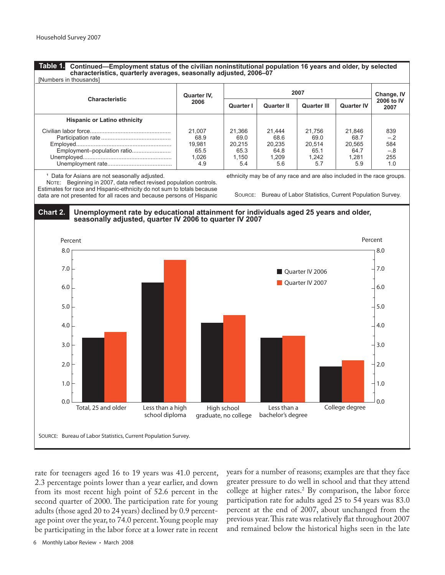**Table 1.**

**Continued—Employment status of the civilian noninstitutional population 16 years and older, by selected characteristics, quarterly averages, seasonally adjusted, 2006–07** [Numbers in thousands] 

| <b>INUITIVELS III LIVUSQITUS</b>    |                                           |                                                  |                                           |                                           |                                                  |                                            |
|-------------------------------------|-------------------------------------------|--------------------------------------------------|-------------------------------------------|-------------------------------------------|--------------------------------------------------|--------------------------------------------|
| <b>Characteristic</b>               | Quarter IV,                               |                                                  | Change, IV                                |                                           |                                                  |                                            |
| 2006                                |                                           | Quarter I                                        | Quarter II                                | <b>Quarter III</b>                        | <b>Quarter IV</b>                                | 2006 to IV<br>2007                         |
| <b>Hispanic or Latino ethnicity</b> |                                           |                                                  |                                           |                                           |                                                  |                                            |
| Employment-population ratio         | 21.007<br>68.9<br>19.981<br>65.5<br>1.026 | 21,366<br>69.0<br>20.215<br>65.3<br>1.150<br>5.4 | 21.444<br>68.6<br>20.235<br>64.8<br>1.209 | 21.756<br>69.0<br>20.514<br>65.1<br>1.242 | 21.846<br>68.7<br>20.565<br>64.7<br>1.281<br>5.9 | 839<br>$-.2$<br>584<br>$-.8$<br>255<br>1.0 |
|                                     | 4.9                                       |                                                  | 5.6                                       | 5.7                                       |                                                  |                                            |

<sup>1</sup> Data for Asians are not seasonally adjusted.

 NOTE: Beginning in 2007, data reflect revised population controls. Estimates for race and Hispanic-ethnicity do not sum to totals because data are not presented for all races and because persons of Hispanic ethnicity may be of any race and are also included in the race groups. 

SOURCE: Bureau of Labor Statistics, Current Population Survey. 

#### **Chart 2. Unemployment rate by educational attainment for individuals aged 25 years and older, seasonally adjusted, quarter IV 2006 to quarter IV 2007**



rate for teenagers aged 16 to 19 years was 41.0 percent, 2.3 percentage points lower than a year earlier, and down from its most recent high point of 52.6 percent in the second quarter of 2000. The participation rate for young adults (those aged 20 to 24 years) declined by 0.9 percentage point over the year, to 74.0 percent. Young people may be participating in the labor force at a lower rate in recent

years for a number of reasons; examples are that they face greater pressure to do well in school and that they attend college at higher rates.2 By comparison, the labor force participation rate for adults aged 25 to 54 years was 83.0 percent at the end of 2007, about unchanged from the previous year. This rate was relatively flat throughout 2007 and remained below the historical highs seen in the late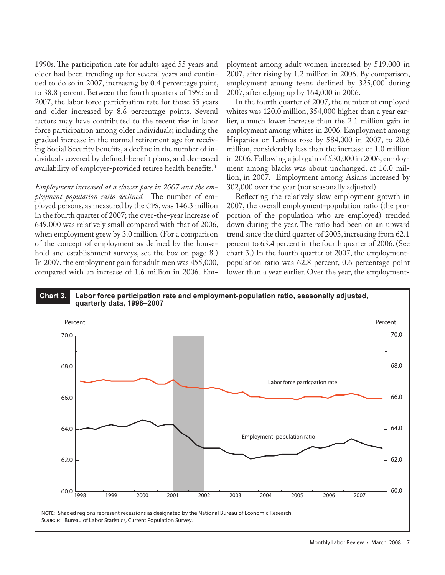1990s. The participation rate for adults aged 55 years and older had been trending up for several years and continued to do so in 2007, increasing by 0.4 percentage point, to 38.8 percent. Between the fourth quarters of 1995 and 2007, the labor force participation rate for those 55 years and older increased by 8.6 percentage points. Several factors may have contributed to the recent rise in labor force participation among older individuals; including the gradual increase in the normal retirement age for receiving Social Security benefits, a decline in the number of individuals covered by defined-benefit plans, and decreased availability of employer-provided retiree health benefits.<sup>3</sup>

*Employment increased at a slower pace in 2007 and the employment-population ratio declined.* The number of employed persons, as measured by the CPS, was 146.3 million in the fourth quarter of 2007; the over-the-year increase of 649,000 was relatively small compared with that of 2006, when employment grew by 3.0 million. (For a comparison of the concept of employment as defined by the household and establishment surveys, see the box on page 8.) In 2007, the employment gain for adult men was 455,000, compared with an increase of 1.6 million in 2006. Employment among adult women increased by 519,000 in 2007, after rising by 1.2 million in 2006. By comparison, employment among teens declined by 325,000 during 2007, after edging up by 164,000 in 2006.

In the fourth quarter of 2007, the number of employed whites was 120.0 million, 354,000 higher than a year earlier, a much lower increase than the 2.1 million gain in employment among whites in 2006. Employment among Hispanics or Latinos rose by 584,000 in 2007, to 20.6 million, considerably less than the increase of 1.0 million in 2006. Following a job gain of 530,000 in 2006, employment among blacks was about unchanged, at 16.0 million, in 2007. Employment among Asians increased by 302,000 over the year (not seasonally adjusted).

Reflecting the relatively slow employment growth in 2007, the overall employment-population ratio (the proportion of the population who are employed) trended down during the year. The ratio had been on an upward trend since the third quarter of 2003, increasing from 62.1 percent to 63.4 percent in the fourth quarter of 2006. (See chart 3.) In the fourth quarter of 2007, the employmentpopulation ratio was 62.8 percent, 0.6 percentage point lower than a year earlier. Over the year, the employment-

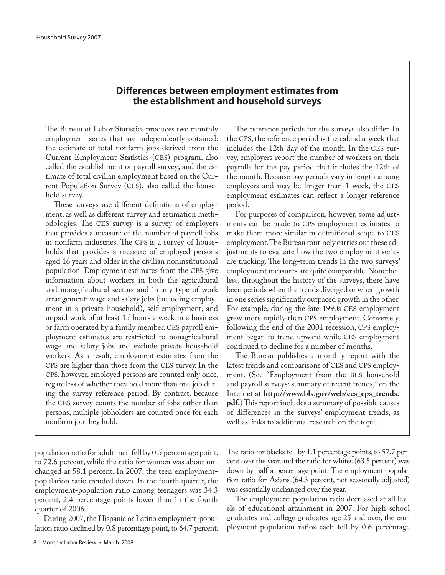# **Differences between employment estimates from the establishment and household surveys**

The Bureau of Labor Statistics produces two monthly employment series that are independently obtained: the estimate of total nonfarm jobs derived from the Current Employment Statistics (CES) program, also called the establishment or payroll survey; and the estimate of total civilian employment based on the Current Population Survey (CPS), also called the household survey.

These surveys use different definitions of employment, as well as different survey and estimation methodologies. The CES survey is a survey of employers that provides a measure of the number of payroll jobs in nonfarm industries. The CPS is a survey of households that provides a measure of employed persons aged 16 years and older in the civilian noninstitutional population. Employment estimates from the CPS give information about workers in both the agricultural and nonagricultural sectors and in any type of work arrangement: wage and salary jobs (including employment in a private household), self-employment, and unpaid work of at least 15 hours a week in a business or farm operated by a family member. CES payroll employment estimates are restricted to nonagricultural wage and salary jobs and exclude private household workers. As a result, employment estimates from the CPS are higher than those from the CES survey. In the CPS, however, employed persons are counted only once, regardless of whether they hold more than one job during the survey reference period. By contrast, because the CES survey counts the number of jobs rather than persons, multiple jobholders are counted once for each nonfarm job they hold.

The reference periods for the surveys also differ. In the CPS, the reference period is the calendar week that includes the 12th day of the month. In the CES survey, employers report the number of workers on their payrolls for the pay period that includes the 12th of the month. Because pay periods vary in length among employers and may be longer than 1 week, the CES employment estimates can reflect a longer reference period.

For purposes of comparison, however, some adjustments can be made to CPS employment estimates to make them more similar in definitional scope to CES employment. The Bureau routinely carries out these adjustments to evaluate how the two employment series are tracking. The long-term trends in the two surveys' employment measures are quite comparable. Nonetheless, throughout the history of the surveys, there have been periods when the trends diverged or when growth in one series significantly outpaced growth in the other. For example, during the late 1990s CES employment grew more rapidly than CPS employment. Conversely, following the end of the 2001 recession, CPS employment began to trend upward while CES employment continued to decline for a number of months.

The Bureau publishes a monthly report with the latest trends and comparisons of CES and CPS employment. (See "Employment from the BLS household and payroll surveys: summary of recent trends," on the Internet at **http://www.bls.gov/web/ces\_cps\_trends. pdf.**) This report includes a summary of possible causes of differences in the surveys' employment trends, as well as links to additional research on the topic.

population ratio for adult men fell by 0.5 percentage point, to 72.6 percent, while the ratio for women was about unchanged at 58.1 percent. In 2007, the teen employmentpopulation ratio trended down. In the fourth quarter, the employment-population ratio among teenagers was 34.3 percent, 2.4 percentage points lower than in the fourth quarter of 2006.

During 2007, the Hispanic or Latino employment-population ratio declined by 0.8 percentage point, to 64.7 percent. The ratio for blacks fell by 1.1 percentage points, to 57.7 percent over the year, and the ratio for whites (63.5 percent) was down by half a percentage point. The employment-population ratio for Asians (64.3 percent, not seasonally adjusted) was essentially unchanged over the year.

The employment-population ratio decreased at all levels of educational attainment in 2007. For high school graduates and college graduates age 25 and over, the employment-population ratios each fell by 0.6 percentage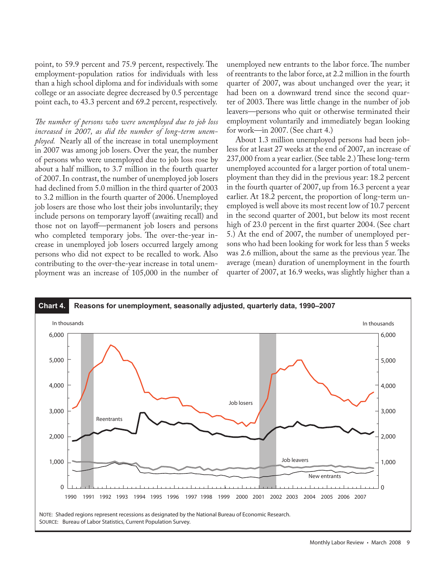point, to 59.9 percent and 75.9 percent, respectively. The employment-population ratios for individuals with less than a high school diploma and for individuals with some college or an associate degree decreased by 0.5 percentage point each, to 43.3 percent and 69.2 percent, respectively.

*The number of persons who were unemployed due to job loss increased in 2007, as did the number of long-term unemployed.* Nearly all of the increase in total unemployment in 2007 was among job losers. Over the year, the number of persons who were unemployed due to job loss rose by about a half million, to 3.7 million in the fourth quarter of 2007. In contrast, the number of unemployed job losers had declined from 5.0 million in the third quarter of 2003 to 3.2 million in the fourth quarter of 2006. Unemployed job losers are those who lost their jobs involuntarily; they include persons on temporary layoff (awaiting recall) and those not on layoff—permanent job losers and persons who completed temporary jobs. The over-the-year increase in unemployed job losers occurred largely among persons who did not expect to be recalled to work. Also contributing to the over-the-year increase in total unemployment was an increase of 105,000 in the number of unemployed new entrants to the labor force. The number of reentrants to the labor force, at 2.2 million in the fourth quarter of 2007, was about unchanged over the year; it had been on a downward trend since the second quarter of 2003. There was little change in the number of job leavers—persons who quit or otherwise terminated their employment voluntarily and immediately began looking for work—in 2007. (See chart 4.)

About 1.3 million unemployed persons had been jobless for at least 27 weeks at the end of 2007, an increase of 237,000 from a year earlier. (See table 2.) These long-term unemployed accounted for a larger portion of total unemployment than they did in the previous year: 18.2 percent in the fourth quarter of 2007, up from 16.3 percent a year earlier. At 18.2 percent, the proportion of long-term unemployed is well above its most recent low of 10.7 percent in the second quarter of 2001, but below its most recent high of 23.0 percent in the first quarter 2004. (See chart 5.) At the end of 2007, the number of unemployed persons who had been looking for work for less than 5 weeks was 2.6 million, about the same as the previous year. The average (mean) duration of unemployment in the fourth quarter of 2007, at 16.9 weeks, was slightly higher than a

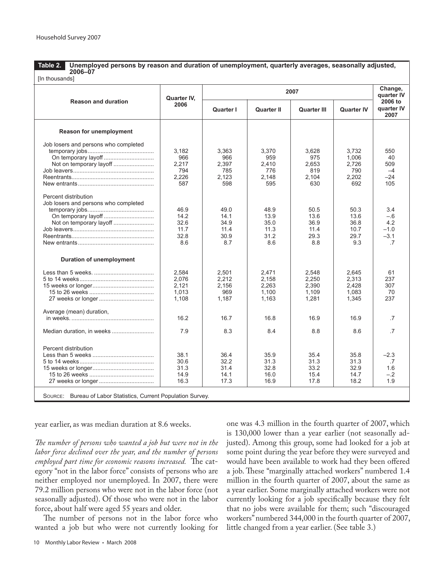Unemployed persons by reason and duration of unemployment, quarterly averages, seasonally adjusted,<br>2006–07 **Table 2.** [In thousands] **2006–07**

|                                      | Quarter IV,<br>2006 |           | 2007              |                    | Change,<br>quarter IV |                               |
|--------------------------------------|---------------------|-----------|-------------------|--------------------|-----------------------|-------------------------------|
| <b>Reason and duration</b>           |                     | Quarter I | <b>Quarter II</b> | <b>Quarter III</b> | <b>Quarter IV</b>     | 2006 to<br>quarter IV<br>2007 |
| Reason for unemployment              |                     |           |                   |                    |                       |                               |
| Job losers and persons who completed |                     |           |                   |                    |                       |                               |
|                                      | 3,182               | 3.363     | 3.370             | 3.628              | 3.732                 | 550                           |
|                                      | 966                 | 966       | 959               | 975                | 1,006                 | 40                            |
|                                      | 2,217               | 2.397     | 2.410             | 2.653              | 2.726                 | 509                           |
|                                      | 794                 | 785       | 776               | 819                | 790                   | $-4$                          |
|                                      | 2,226               | 2,123     | 2.148             | 2.104              | 2,202                 | $-24$                         |
|                                      | 587                 | 598       | 595               | 630                | 692                   | 105                           |
|                                      |                     |           |                   |                    |                       |                               |
| Percent distribution                 |                     |           |                   |                    |                       |                               |
| Job losers and persons who completed |                     |           |                   |                    |                       |                               |
|                                      | 46.9                | 49.0      | 48.9              | 50.5               | 50.3                  | 3.4                           |
|                                      | 14.2                | 14.1      | 13.9              | 13.6               | 13.6                  | $-.6$                         |
| Not on temporary layoff              | 32.6                | 34.9      | 35.0              | 36.9               | 36.8                  | 4.2                           |
|                                      | 11.7                | 11.4      | 11.3              | 11.4               | 10.7                  | $-1.0$                        |
|                                      | 32.8                | 30.9      | 31.2              | 29.3               | 29.7                  | $-3.1$                        |
|                                      | 8.6                 | 8.7       | 8.6               | 8.8                | 9.3                   | $\cdot$ 7                     |
| <b>Duration of unemployment</b>      |                     |           |                   |                    |                       |                               |
|                                      | 2,584               | 2,501     | 2,471             | 2,548              | 2.645                 | 61                            |
|                                      | 2,076               | 2,212     | 2,158             | 2,250              | 2,313                 | 237                           |
|                                      | 2,121               | 2,156     | 2,263             | 2,390              | 2.428                 | 307                           |
|                                      | 1,013               | 969       | 1,100             | 1,109              | 1,083                 | 70                            |
|                                      | 1.108               | 1,187     | 1,163             | 1,281              | 1,345                 | 237                           |
| Average (mean) duration,             |                     |           |                   |                    |                       |                               |
|                                      | 16.2                | 16.7      | 16.8              | 16.9               | 16.9                  | $\overline{.7}$               |
|                                      | 7.9                 | 8.3       | 8.4               | 8.8                | 8.6                   | $\overline{7}$                |
| Percent distribution                 |                     |           |                   |                    |                       |                               |
|                                      | 38.1                | 36.4      | 35.9              | 35.4               | 35.8                  | $-2.3$                        |
|                                      | 30.6                | 32.2      | 31.3              | 31.3               | 31.3                  | $\cdot$ 7                     |
|                                      | 31.3                | 31.4      | 32.8              | 33.2               | 32.9                  | 1.6                           |
|                                      | 14.9                | 14.1      | 16.0              | 15.4               | 14.7                  | $-.2$                         |
|                                      | 16.3                | 17.3      | 16.9              | 17.8               | 18.2                  | 1.9                           |

year earlier, as was median duration at 8.6 weeks.

*The number of persons who wanted a job but were not in the labor force declined over the year, and the number of persons employed part time for economic reasons increased.* The category "not in the labor force" consists of persons who are neither employed nor unemployed. In 2007, there were 79.2 million persons who were not in the labor force (not seasonally adjusted). Of those who were not in the labor force, about half were aged 55 years and older.

The number of persons not in the labor force who wanted a job but who were not currently looking for

10 Monthly Labor Review • March 2008

one was 4.3 million in the fourth quarter of 2007, which is 130,000 lower than a year earlier (not seasonally adjusted). Among this group, some had looked for a job at some point during the year before they were surveyed and would have been available to work had they been offered a job. These "marginally attached workers" numbered 1.4 million in the fourth quarter of 2007, about the same as a year earlier. Some marginally attached workers were not currently looking for a job specifically because they felt that no jobs were available for them; such "discouraged workers" numbered 344,000 in the fourth quarter of 2007, little changed from a year earlier. (See table 3.)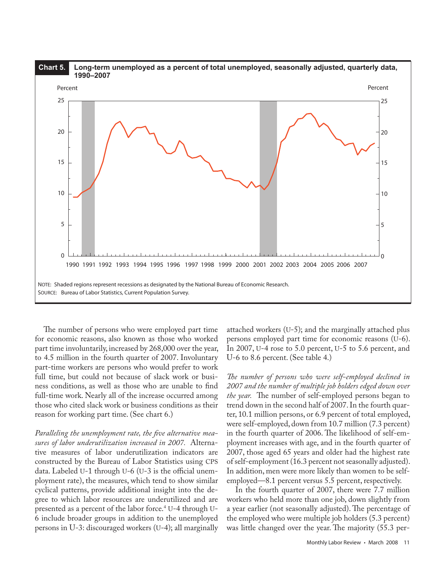

The number of persons who were employed part time for economic reasons, also known as those who worked part time involuntarily, increased by 268,000 over the year, to 4.5 million in the fourth quarter of 2007. Involuntary part-time workers are persons who would prefer to work full time, but could not because of slack work or business conditions, as well as those who are unable to find full-time work. Nearly all of the increase occurred among those who cited slack work or business conditions as their reason for working part time. (See chart 6.)

*Paralleling the unemployment rate, the five alternative measures of labor underutilization increased in 2007.* Alternative measures of labor underutilization indicators are constructed by the Bureau of Labor Statistics using CPS data. Labeled U-1 through U-6 (U-3 is the official unemployment rate), the measures, which tend to show similar cyclical patterns, provide additional insight into the degree to which labor resources are underutilized and are presented as a percent of the labor force.<sup>4</sup> U-4 through U-6 include broader groups in addition to the unemployed persons in U-3: discouraged workers (U-4); all marginally attached workers (U-5); and the marginally attached plus persons employed part time for economic reasons (U-6). In 2007, U-4 rose to 5.0 percent, U-5 to 5.6 percent, and U-6 to 8.6 percent. (See table 4.)

*The number of persons who were self-employed declined in 2007 and the number of multiple job holders edged down over the year.* The number of self-employed persons began to trend down in the second half of 2007. In the fourth quarter, 10.1 million persons, or 6.9 percent of total employed, were self-employed, down from 10.7 million (7.3 percent) in the fourth quarter of 2006. The likelihood of self-employment increases with age, and in the fourth quarter of 2007, those aged 65 years and older had the highest rate of self-employment (16.3 percent not seasonally adjusted). In addition, men were more likely than women to be selfemployed—8.1 percent versus 5.5 percent, respectively.

In the fourth quarter of 2007, there were 7.7 million workers who held more than one job, down slightly from a year earlier (not seasonally adjusted). The percentage of the employed who were multiple job holders (5.3 percent) was little changed over the year. The majority (55.3 per-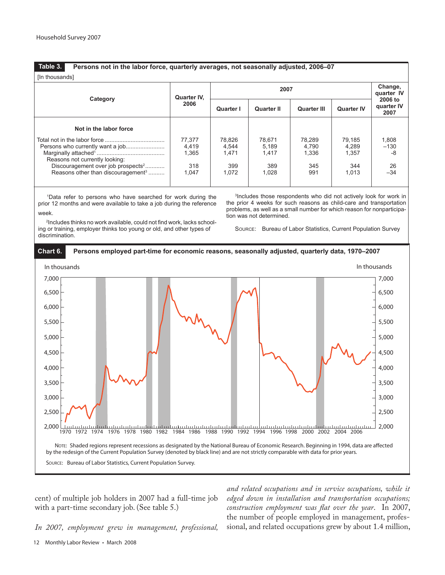# **Table 3. Persons not in the labor force, quarterly averages, not seasonally adjusted, 2006–07**

| [In thousands]                                 |             |                  |                   |                                  |                   |                    |  |  |
|------------------------------------------------|-------------|------------------|-------------------|----------------------------------|-------------------|--------------------|--|--|
| Category                                       | Quarter IV. |                  |                   | Change,<br>quarter IV<br>2006 to |                   |                    |  |  |
|                                                | 2006        | <b>Quarter I</b> | <b>Quarter II</b> | <b>Quarter III</b>               | <b>Quarter IV</b> | quarter IV<br>2007 |  |  |
| Not in the labor force                         |             |                  |                   |                                  |                   |                    |  |  |
|                                                | 77,377      | 78,826           | 78.671            | 78,289                           | 79.185            | 1,808              |  |  |
|                                                | 4,419       | 4,544            | 5,189             | 4.790                            | 4.289             | $-130$             |  |  |
|                                                | 1.365       | 1.471            | 1.417             | 1.336                            | 1.357             | -8                 |  |  |
| Reasons not currently looking:                 |             |                  |                   |                                  |                   |                    |  |  |
| Discouragement over job prospects <sup>2</sup> | 318         | 399              | 389               | 345                              | 344               | 26                 |  |  |
| Reasons other than discouragement <sup>3</sup> | 1,047       | 1,072            | 1,028             | 991                              | 1.013             | $-34$              |  |  |
|                                                |             |                  |                   |                                  |                   |                    |  |  |

1 Data refer to persons who have searched for work during the prior 12 months and were available to take a job during the reference week.

3 Includes those respondents who did not actively look for work in the prior 4 weeks for such reasons as child-care and transportation problems, as well as a small number for which reason for nonparticipation was not determined. 

2 Includes thinks no work available, could not find work, lacks schooling or training, employer thinks too young or old, and other types of discrimination. 





cent) of multiple job holders in 2007 had a full-time job with a part-time secondary job. (See table 5.)

*In 2007, employment grew in management, professional,* 

*and related occupations and in service occupations, while it edged down in installation and transportation occupations; construction employment was flat over the year*. In 2007, the number of people employed in management, professional, and related occupations grew by about 1.4 million,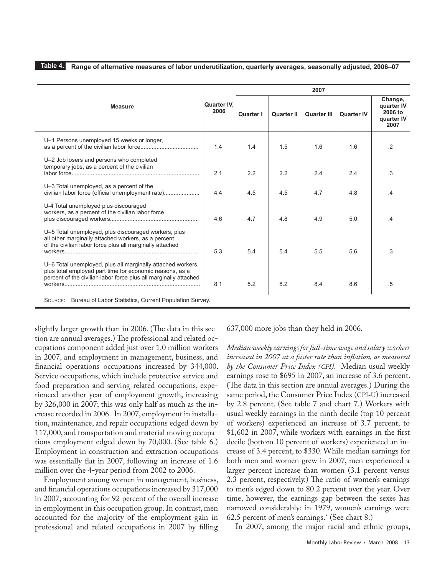| <u>Table 4. </u><br>Range of alternative measures of labor underutilization, quarterly averages, seasonally adjusted, 2006–07                                                               |                     |                  |                   |                    |                   |                                                        |  |  |
|---------------------------------------------------------------------------------------------------------------------------------------------------------------------------------------------|---------------------|------------------|-------------------|--------------------|-------------------|--------------------------------------------------------|--|--|
|                                                                                                                                                                                             |                     | 2007             |                   |                    |                   |                                                        |  |  |
| <b>Measure</b>                                                                                                                                                                              | Quarter IV.<br>2006 | <b>Quarter I</b> | <b>Quarter II</b> | <b>Quarter III</b> | <b>Quarter IV</b> | Change,<br>quarter IV<br>2006 to<br>quarter IV<br>2007 |  |  |
| U-1 Persons unemployed 15 weeks or longer,                                                                                                                                                  | 1.4                 | 1.4              | 1.5               | 1.6                | 1.6               | $\cdot$ .2                                             |  |  |
| U-2 Job losers and persons who completed<br>temporary jobs, as a percent of the civilian                                                                                                    | 2.1                 | 2.2              | 2.2               | 2.4                | 2.4               | .3                                                     |  |  |
| U-3 Total unemployed, as a percent of the<br>civilian labor force (official unemployment rate)                                                                                              | 4.4                 | 4.5              | 4.5               | 4.7                | 4.8               | .4                                                     |  |  |
| U-4 Total unemployed plus discouraged<br>workers, as a percent of the civilian labor force                                                                                                  | 4.6                 | 47               | 4.8               | 4.9                | 5.0               | $\mathcal{A}$                                          |  |  |
| U-5 Total unemployed, plus discouraged workers, plus<br>all other marginally attached workers, as a percent<br>of the civilian labor force plus all marginally attached                     | 5.3                 | 5.4              | 5.4               | 5.5                | 5.6               | .3                                                     |  |  |
| U-6 Total unemployed, plus all marginally attached workers,<br>plus total employed part time for economic reasons, as a<br>percent of the civilian labor force plus all marginally attached | 8.1                 | 8.2              | 8.2               | 8.4                | 8.6               | .5                                                     |  |  |
| Bureau of Labor Statistics, Current Population Survey.<br>SOURCE:                                                                                                                           |                     |                  |                   |                    |                   |                                                        |  |  |

slightly larger growth than in 2006. (The data in this section are annual averages.) The professional and related occupations component added just over 1.0 million workers in 2007, and employment in management, business, and financial operations occupations increased by 344,000. Service occupations, which include protective service and food preparation and serving related occupations, experienced another year of employment growth, increasing by 326,000 in 2007; this was only half as much as the increase recorded in 2006. In 2007, employment in installation, maintenance, and repair occupations edged down by 117,000, and transportation and material moving occupations employment edged down by 70,000. (See table 6.) Employment in construction and extraction occupations was essentially flat in 2007, following an increase of 1.6 million over the 4-year period from 2002 to 2006.

Employment among women in management, business, and financial operations occupations increased by 317,000 in 2007, accounting for 92 percent of the overall increase in employment in this occupation group. In contrast, men accounted for the majority of the employment gain in professional and related occupations in 2007 by filling

637,000 more jobs than they held in 2006.

*Median weekly earnings for full-time wage and salary workers increased in 2007 at a faster rate than inflation, as measured by the Consumer Price Index (CPI)*. Median usual weekly earnings rose to \$695 in 2007, an increase of 3.6 percent. (The data in this section are annual averages.) During the same period, the Consumer Price Index (CPI-U) increased by 2.8 percent. (See table 7 and chart 7.) Workers with usual weekly earnings in the ninth decile (top 10 percent of workers) experienced an increase of 3.7 percent, to \$1,602 in 2007, while workers with earnings in the first decile (bottom 10 percent of workers) experienced an increase of 3.4 percent, to \$330. While median earnings for both men and women grew in 2007, men experienced a larger percent increase than women (3.1 percent versus 2.3 percent, respectively.) The ratio of women's earnings to men's edged down to 80.2 percent over the year. Over time, however, the earnings gap between the sexes has narrowed considerably: in 1979, women's earnings were 62.5 percent of men's earnings.<sup>5</sup> (See chart 8.)

In 2007, among the major racial and ethnic groups,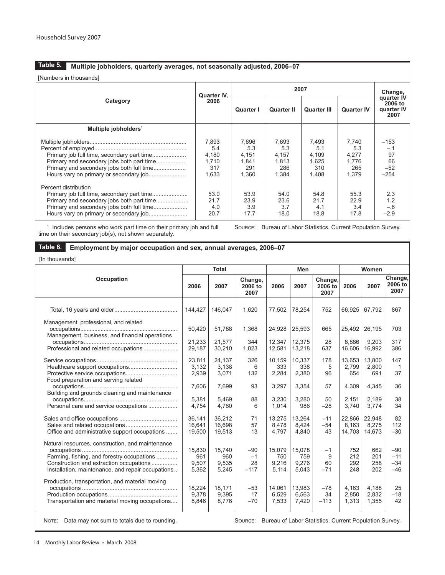[Numbers in thousands]

|                                                                                                                 | Quarter IV.<br>2006                            |                                                | Change,                                        |                                                |                                                |                                                |
|-----------------------------------------------------------------------------------------------------------------|------------------------------------------------|------------------------------------------------|------------------------------------------------|------------------------------------------------|------------------------------------------------|------------------------------------------------|
| Category                                                                                                        |                                                | <b>Quarter I</b>                               | <b>Quarter II</b>                              | <b>Quarter III</b>                             | <b>Quarter IV</b>                              | quarter IV<br>2006 to<br>quarter IV<br>2007    |
| Multiple jobholders <sup>1</sup>                                                                                |                                                |                                                |                                                |                                                |                                                |                                                |
|                                                                                                                 | 7,893<br>5.4<br>4,180<br>1,710<br>317<br>1,633 | 7,696<br>5.3<br>4,151<br>1,841<br>291<br>1,360 | 7,693<br>5.3<br>4,157<br>1,813<br>286<br>1,384 | 7,493<br>5.1<br>4,109<br>1,625<br>310<br>1,408 | 7,740<br>5.3<br>4,277<br>1.776<br>265<br>1,379 | $-153$<br>$-.1$<br>97<br>66<br>$-52$<br>$-254$ |
| Percent distribution<br>Primary job full time, secondary part time<br>Primary and secondary jobs both part time | 53.0<br>21.7<br>4.0<br>20.7                    | 53.9<br>23.9<br>3.9<br>17.7                    | 54.0<br>23.6<br>3.7<br>18.0                    | 54.8<br>21.7<br>4.1<br>18.8                    | 55.3<br>22.9<br>3.4<br>17.8                    | 2.3<br>1.2<br>$-.6$<br>$-2.9$                  |

time on their secondary job(s), not shown separately. 

# **Employment by major occupation and sex, annual averages, 2006–07 Table 6.**

[In thousands]

|                                                                                                                                                                                                |                                 | <b>Total</b>                    |                                                                 |                                 | <b>Men</b>                      |                            |                           | Women                     |                                  |
|------------------------------------------------------------------------------------------------------------------------------------------------------------------------------------------------|---------------------------------|---------------------------------|-----------------------------------------------------------------|---------------------------------|---------------------------------|----------------------------|---------------------------|---------------------------|----------------------------------|
| Occupation                                                                                                                                                                                     | 2006                            | 2007                            | Change,<br>2006 to<br>2007                                      | 2006                            | 2007                            | Change,<br>2006 to<br>2007 | 2006                      | 2007                      | Change,<br>2006 to<br>2007       |
|                                                                                                                                                                                                | 144.427                         | 146.047                         | 1,620                                                           | 77,502                          | 78,254                          | 752                        | 66.925                    | 67,792                    | 867                              |
| Management, professional, and related<br>Management, business, and financial operations                                                                                                        | 50,420                          | 51,788                          | 1,368                                                           | 24,928                          | 25,593                          | 665                        | 25,492                    | 26,195                    | 703                              |
| Professional and related occupations                                                                                                                                                           | 21,233<br>29.187                | 21,577<br>30,210                | 344<br>1,023                                                    | 12,347<br>12,581                | 12,375<br>13,218                | 28<br>637                  | 8,886<br>16,606           | 9,203<br>16,992           | 317<br>386                       |
| Healthcare support occupations                                                                                                                                                                 | 23,811<br>3.132<br>2,939        | 24,137<br>3,138<br>3,071        | 326<br>6<br>132                                                 | 10.159<br>333<br>2,284          | 10,337<br>338<br>2,380          | 178<br>5<br>96             | 13,653<br>2,799<br>654    | 13,800<br>2,800<br>691    | 147<br>1<br>37                   |
| Food preparation and serving related<br>Building and grounds cleaning and maintenance                                                                                                          | 7,606<br>5,381                  | 7,699<br>5,469                  | 93<br>88                                                        | 3,297<br>3,230                  | 3,354<br>3,280                  | 57<br>50                   | 4,309<br>2,151            | 4,345<br>2,189            | 36<br>38                         |
| Personal care and service occupations                                                                                                                                                          | 4,754                           | 4,760                           | 6                                                               | 1,014                           | 986                             | $-28$                      | 3,740                     | 3,774                     | 34                               |
| Office and administrative support occupations                                                                                                                                                  | 36.141<br>16,641<br>19,500      | 36.212<br>16,698<br>19,513      | 71<br>57<br>13                                                  | 13,275<br>8,478<br>4,797        | 13,264<br>8,424<br>4,840        | $-11$<br>$-54$<br>43       | 22,866<br>8,163<br>14,703 | 22,948<br>8,275<br>14,673 | 82<br>112<br>$-30$               |
| Natural resources, construction, and maintenance<br>Farming, fishing, and forestry occupations<br>Construction and extraction occupations<br>Installation, maintenance, and repair occupations | 15,830<br>961<br>9.507<br>5,362 | 15.740<br>960<br>9,535<br>5,245 | $-90$<br>$-1$<br>28<br>$-117$                                   | 15,079<br>750<br>9.216<br>5,114 | 15,078<br>759<br>9.276<br>5,043 | $-1$<br>9<br>60<br>$-71$   | 752<br>212<br>292<br>248  | 662<br>201<br>258<br>202  | $-90$<br>$-11$<br>$-34$<br>$-46$ |
| Production, transportation, and material moving<br>Transportation and material moving occupations                                                                                              | 18,224<br>9.378<br>8,846        | 18,171<br>9,395<br>8,776        | $-53$<br>17<br>$-70$                                            | 14,061<br>6.529<br>7,533        | 13,983<br>6.563<br>7,420        | $-78$<br>34<br>$-113$      | 4,163<br>2.850<br>1,313   | 4,188<br>2.832<br>1,355   | 25<br>$-18$<br>42                |
| Marinez - Proto access and come to totally deep to access dis-                                                                                                                                 |                                 |                                 | Correct Division of Labor Chatalise, Crosset Deputation Crosser |                                 |                                 |                            |                           |                           |                                  |

NOTE: Data may not sum to totals due to rounding. SOURCE: Bureau of Labor Statistics, Current Population Survey.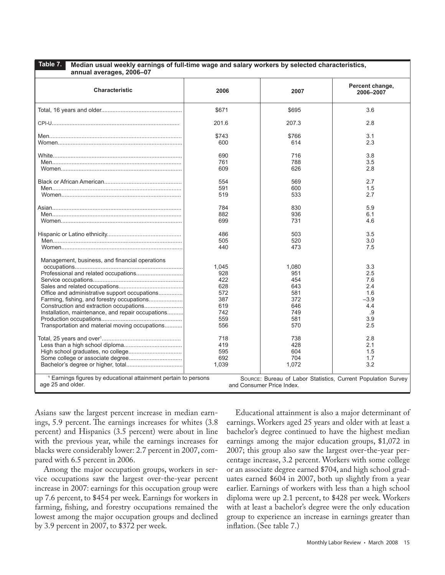| Table 7.<br>Median usual weekly earnings of full-time wage and salary workers by selected characteristics,<br>annual averages, 2006-07                                                                 |                                                                      |                                                                      |                                                                      |
|--------------------------------------------------------------------------------------------------------------------------------------------------------------------------------------------------------|----------------------------------------------------------------------|----------------------------------------------------------------------|----------------------------------------------------------------------|
| <b>Characteristic</b>                                                                                                                                                                                  | 2006                                                                 | 2007                                                                 | Percent change,<br>2006-2007                                         |
|                                                                                                                                                                                                        | \$671                                                                | \$695                                                                | 3.6                                                                  |
|                                                                                                                                                                                                        | 201.6                                                                | 207.3                                                                | 2.8                                                                  |
|                                                                                                                                                                                                        | \$743                                                                | \$766                                                                | 3.1                                                                  |
|                                                                                                                                                                                                        | 600                                                                  | 614                                                                  | 2.3                                                                  |
|                                                                                                                                                                                                        | 690                                                                  | 716                                                                  | 3.8                                                                  |
|                                                                                                                                                                                                        | 761                                                                  | 788                                                                  | 3.5                                                                  |
|                                                                                                                                                                                                        | 609                                                                  | 626                                                                  | 2.8                                                                  |
|                                                                                                                                                                                                        | 554                                                                  | 569                                                                  | 2.7                                                                  |
|                                                                                                                                                                                                        | 591                                                                  | 600                                                                  | 1.5                                                                  |
|                                                                                                                                                                                                        | 519                                                                  | 533                                                                  | 2.7                                                                  |
|                                                                                                                                                                                                        | 784                                                                  | 830                                                                  | 5.9                                                                  |
|                                                                                                                                                                                                        | 882                                                                  | 936                                                                  | 6.1                                                                  |
|                                                                                                                                                                                                        | 699                                                                  | 731                                                                  | 4.6                                                                  |
|                                                                                                                                                                                                        | 486                                                                  | 503                                                                  | 3.5                                                                  |
|                                                                                                                                                                                                        | 505                                                                  | 520                                                                  | 3.0                                                                  |
|                                                                                                                                                                                                        | 440                                                                  | 473                                                                  | 7.5                                                                  |
| Management, business, and financial operations<br>Office and administrative support occupations<br>Installation, maintenance, and repair occupations<br>Transportation and material moving occupations | 1,045<br>928<br>422<br>628<br>572<br>387<br>619<br>742<br>559<br>556 | 1,080<br>951<br>454<br>643<br>581<br>372<br>646<br>749<br>581<br>570 | 3.3<br>2.5<br>7.6<br>2.4<br>1.6<br>$-3.9$<br>4.4<br>.9<br>3.9<br>2.5 |
|                                                                                                                                                                                                        | 718                                                                  | 738                                                                  | 2.8                                                                  |
|                                                                                                                                                                                                        | 419                                                                  | 428                                                                  | 2.1                                                                  |
|                                                                                                                                                                                                        | 595                                                                  | 604                                                                  | 1.5                                                                  |
|                                                                                                                                                                                                        | 692                                                                  | 704                                                                  | 1.7                                                                  |
|                                                                                                                                                                                                        | 1,039                                                                | 1,072                                                                | 3.2                                                                  |
| <sup>1</sup> Earnings figures by educational attainment pertain to persons<br>age 25 and older.                                                                                                        |                                                                      | and Consumer Price Index.                                            | SOURCE: Bureau of Labor Statistics, Current Population Survey        |

Asians saw the largest percent increase in median earnings, 5.9 percent. The earnings increases for whites (3.8 percent) and Hispanics (3.5 percent) were about in line with the previous year, while the earnings increases for blacks were considerably lower: 2.7 percent in 2007, compared with 6.5 percent in 2006.

Among the major occupation groups, workers in service occupations saw the largest over-the-year percent increase in 2007: earnings for this occupation group were up 7.6 percent, to \$454 per week. Earnings for workers in farming, fishing, and forestry occupations remained the lowest among the major occupation groups and declined by 3.9 percent in 2007, to \$372 per week.

Educational attainment is also a major determinant of earnings. Workers aged 25 years and older with at least a bachelor's degree continued to have the highest median earnings among the major education groups, \$1,072 in 2007; this group also saw the largest over-the-year percentage increase, 3.2 percent. Workers with some college or an associate degree earned \$704, and high school graduates earned \$604 in 2007, both up slightly from a year earlier. Earnings of workers with less than a high school diploma were up 2.1 percent, to \$428 per week. Workers with at least a bachelor's degree were the only education group to experience an increase in earnings greater than inflation. (See table 7.)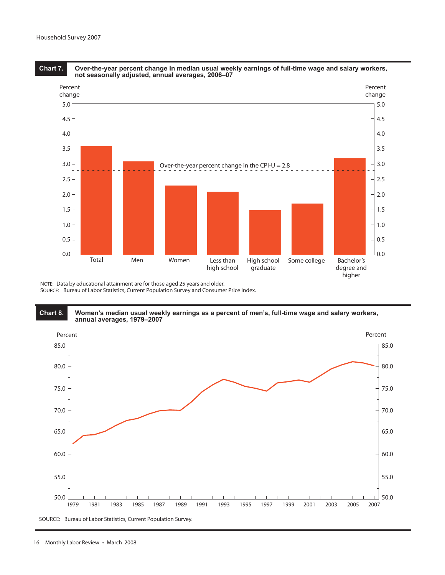

### **Chart 8. Women's median usual weekly earnings as a percent of men's, full-time wage and salary workers, annual averages, 1979–2007**

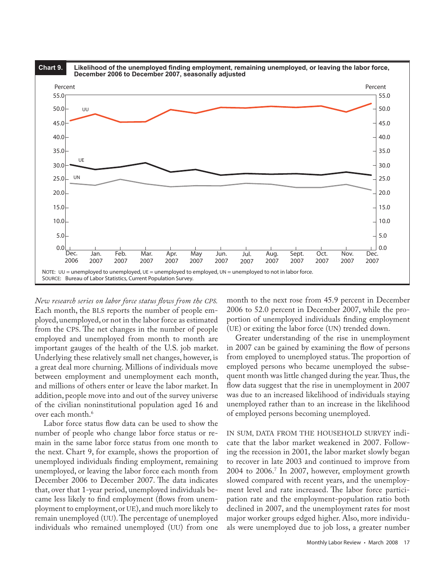

*New research series on labor force status flows from the CPS.* Each month, the BLS reports the number of people employed, unemployed, or not in the labor force as estimated from the CPS. The net changes in the number of people employed and unemployed from month to month are important gauges of the health of the U.S. job market. Underlying these relatively small net changes, however, is a great deal more churning. Millions of individuals move between employment and unemployment each month, and millions of others enter or leave the labor market. In addition, people move into and out of the survey universe of the civilian noninstitutional population aged 16 and over each month.6

Labor force status flow data can be used to show the number of people who change labor force status or remain in the same labor force status from one month to the next. Chart 9, for example, shows the proportion of unemployed individuals finding employment, remaining unemployed, or leaving the labor force each month from December 2006 to December 2007. The data indicates that, over that 1-year period, unemployed individuals became less likely to find employment (flows from unemployment to employment, or UE), and much more likely to remain unemployed (UU). The percentage of unemployed individuals who remained unemployed (UU) from one

month to the next rose from 45.9 percent in December 2006 to 52.0 percent in December 2007, while the proportion of unemployed individuals finding employment (UE) or exiting the labor force (UN) trended down.

Greater understanding of the rise in unemployment in 2007 can be gained by examining the flow of persons from employed to unemployed status. The proportion of employed persons who became unemployed the subsequent month was little changed during the year. Thus, the flow data suggest that the rise in unemployment in 2007 was due to an increased likelihood of individuals staying unemployed rather than to an increase in the likelihood of employed persons becoming unemployed.

IN SUM, DATA FROM THE HOUSEHOLD SURVEY indicate that the labor market weakened in 2007. Following the recession in 2001, the labor market slowly began to recover in late 2003 and continued to improve from 2004 to 2006.7 In 2007, however, employment growth slowed compared with recent years, and the unemployment level and rate increased. The labor force participation rate and the employment-population ratio both declined in 2007, and the unemployment rates for most major worker groups edged higher. Also, more individuals were unemployed due to job loss, a greater number